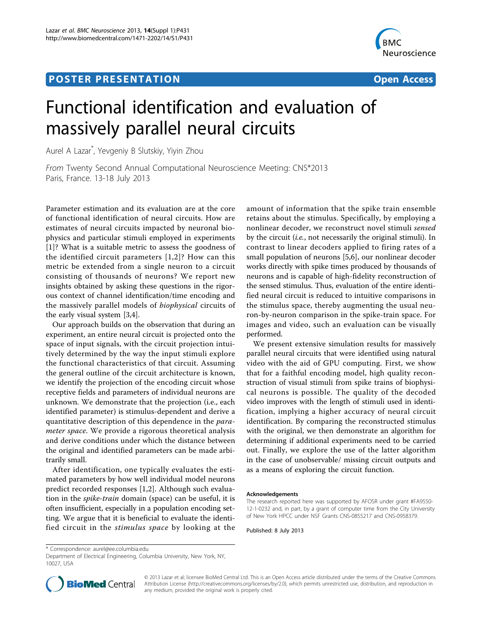## **POSTER PRESENTATION CONSUMING THE SERVICE SERVICE SERVICES**



# Functional identification and evaluation of massively parallel neural circuits

Aurel A Lazar\* , Yevgeniy B Slutskiy, Yiyin Zhou

From Twenty Second Annual Computational Neuroscience Meeting: CNS\*2013 Paris, France. 13-18 July 2013

Parameter estimation and its evaluation are at the core of functional identification of neural circuits. How are estimates of neural circuits impacted by neuronal biophysics and particular stimuli employed in experiments [[1\]](#page-1-0)? What is a suitable metric to assess the goodness of the identified circuit parameters [\[1,2](#page-1-0)]? How can this metric be extended from a single neuron to a circuit consisting of thousands of neurons? We report new insights obtained by asking these questions in the rigorous context of channel identification/time encoding and the massively parallel models of biophysical circuits of the early visual system [[3](#page-1-0),[4](#page-1-0)].

Our approach builds on the observation that during an experiment, an entire neural circuit is projected onto the space of input signals, with the circuit projection intuitively determined by the way the input stimuli explore the functional characteristics of that circuit. Assuming the general outline of the circuit architecture is known, we identify the projection of the encoding circuit whose receptive fields and parameters of individual neurons are unknown. We demonstrate that the projection (i.e., each identified parameter) is stimulus-dependent and derive a quantitative description of this dependence in the parameter space. We provide a rigorous theoretical analysis and derive conditions under which the distance between the original and identified parameters can be made arbitrarily small.

After identification, one typically evaluates the estimated parameters by how well individual model neurons predict recorded responses [[1,2\]](#page-1-0). Although such evaluation in the spike-train domain (space) can be useful, it is often insufficient, especially in a population encoding setting. We argue that it is beneficial to evaluate the identified circuit in the stimulus space by looking at the amount of information that the spike train ensemble retains about the stimulus. Specifically, by employing a nonlinear decoder, we reconstruct novel stimuli sensed by the circuit (i.e., not necessarily the original stimuli). In contrast to linear decoders applied to firing rates of a small population of neurons [[5,6\]](#page-1-0), our nonlinear decoder works directly with spike times produced by thousands of neurons and is capable of high-fidelity reconstruction of the sensed stimulus. Thus, evaluation of the entire identified neural circuit is reduced to intuitive comparisons in the stimulus space, thereby augmenting the usual neuron-by-neuron comparison in the spike-train space. For images and video, such an evaluation can be visually performed.

We present extensive simulation results for massively parallel neural circuits that were identified using natural video with the aid of GPU computing. First, we show that for a faithful encoding model, high quality reconstruction of visual stimuli from spike trains of biophysical neurons is possible. The quality of the decoded video improves with the length of stimuli used in identification, implying a higher accuracy of neural circuit identification. By comparing the reconstructed stimulus with the original, we then demonstrate an algorithm for determining if additional experiments need to be carried out. Finally, we explore the use of the latter algorithm in the case of unobservable/ missing circuit outputs and as a means of exploring the circuit function.

#### Acknowledgements

The research reported here was supported by AFOSR under grant #FA9550- 12-1-0232 and, in part, by a grant of computer time from the City University of New York HPCC under NSF Grants CNS-0855217 and CNS-0958379.

Published: 8 July 2013

Department of Electrical Engineering, Columbia University, New York, NY, 10027, USA



© 2013 Lazar et al; licensee BioMed Central Ltd. This is an Open Access article distributed under the terms of the Creative Commons Attribution License [\(http://creativecommons.org/licenses/by/2.0](http://creativecommons.org/licenses/by/2.0)), which permits unrestricted use, distribution, and reproduction in any medium, provided the original work is properly cited.

<sup>\*</sup> Correspondence: [aurel@ee.columbia.edu](mailto:aurel@ee.columbia.edu)